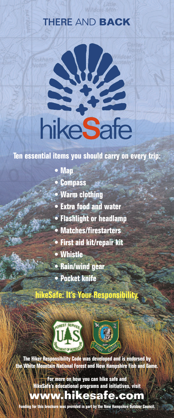# **THERE** AND **BACK**



### **Ten essential items you should carry on every trip:**

- **• Map**
- **• Compass**
- **• Warm clothing**
- **• Extra food and water**
- **• Flashlight or headlamp**
- **• Matches/firestarters**
- **• First aid kit/repair kit**
- **• Whistle**
- **• Rain/wind gear**
- **• Pocket knife**

**hikeSafe: It's Your Responsibility.**



**The Hiker Responsibility Code was developed and is endorsed by the White Mountain National Forest and New Hampshire Fish and Game.**

> **For more on how you can hike safe and HikeSafe's educational programs and initiatives, visit**

## **www.hikesafe.com**

**Funding for this brochure was provided in part by the New Hampshire Outdoor Council.**